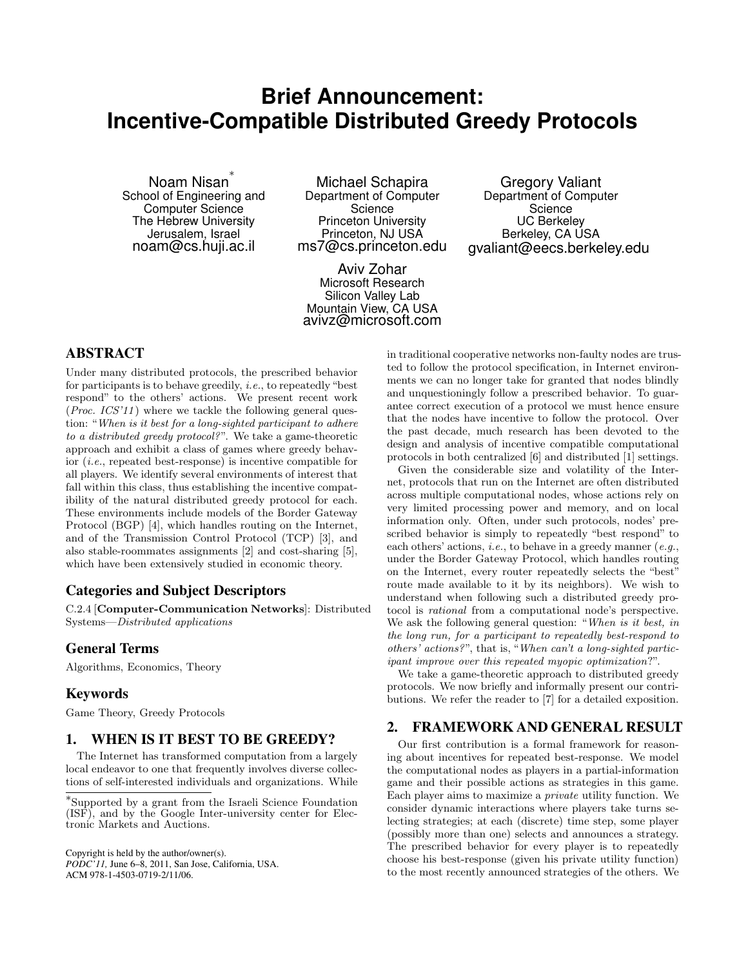# **Brief Announcement: Incentive-Compatible Distributed Greedy Protocols**

Noam Nisan *∗* School of Engineering and Computer Science The Hebrew University Jerusalem, Israel noam@cs.huji.ac.il

Michael Schapira Department of Computer **Science** Princeton University Princeton, NJ USA ms7@cs.princeton.edu

Aviv Zohar Microsoft Research Silicon Valley Lab Mountain View, CA USA avivz@microsoft.com

Gregory Valiant Department of Computer **Science** UC Berkeley Berkeley, CA USA gvaliant@eecs.berkeley.edu

# ABSTRACT

Under many distributed protocols, the prescribed behavior for participants is to behave greedily, *i.e.*, to repeatedly "best respond" to the others' actions. We present recent work (*Proc. ICS'11* ) where we tackle the following general question: "*When is it best for a long-sighted participant to adhere to a distributed greedy protocol?*". We take a game-theoretic approach and exhibit a class of games where greedy behavior (*i.e.*, repeated best-response) is incentive compatible for all players. We identify several environments of interest that fall within this class, thus establishing the incentive compatibility of the natural distributed greedy protocol for each. These environments include models of the Border Gateway Protocol (BGP) [4], which handles routing on the Internet, and of the Transmission Control Protocol (TCP) [3], and also stable-roommates assignments [2] and cost-sharing [5], which have been extensively studied in economic theory.

### Categories and Subject Descriptors

C.2.4 [**Computer-Communication Networks**]: Distributed Systems—*Distributed applications*

### General Terms

Algorithms, Economics, Theory

#### Keywords

Game Theory, Greedy Protocols

# 1. WHEN IS IT BEST TO BE GREEDY?

The Internet has transformed computation from a largely local endeavor to one that frequently involves diverse collections of self-interested individuals and organizations. While

Copyright is held by the author/owner(s). *PODC'11,* June 6–8, 2011, San Jose, California, USA. ACM 978-1-4503-0719-2/11/06.

in traditional cooperative networks non-faulty nodes are trusted to follow the protocol specification, in Internet environments we can no longer take for granted that nodes blindly and unquestioningly follow a prescribed behavior. To guarantee correct execution of a protocol we must hence ensure that the nodes have incentive to follow the protocol. Over the past decade, much research has been devoted to the design and analysis of incentive compatible computational protocols in both centralized [6] and distributed [1] settings.

Given the considerable size and volatility of the Internet, protocols that run on the Internet are often distributed across multiple computational nodes, whose actions rely on very limited processing power and memory, and on local information only. Often, under such protocols, nodes' prescribed behavior is simply to repeatedly "best respond" to each others' actions, *i.e.*, to behave in a greedy manner (*e.g.*, under the Border Gateway Protocol, which handles routing on the Internet, every router repeatedly selects the "best" route made available to it by its neighbors). We wish to understand when following such a distributed greedy protocol is *rational* from a computational node's perspective. We ask the following general question: "*When is it best, in the long run, for a participant to repeatedly best-respond to others' actions?*", that is, "*When can't a long-sighted participant improve over this repeated myopic optimization*?".

We take a game-theoretic approach to distributed greedy protocols. We now briefly and informally present our contributions. We refer the reader to [7] for a detailed exposition.

# 2. FRAMEWORK AND GENERAL RESULT

Our first contribution is a formal framework for reasoning about incentives for repeated best-response. We model the computational nodes as players in a partial-information game and their possible actions as strategies in this game. Each player aims to maximize a *private* utility function. We consider dynamic interactions where players take turns selecting strategies; at each (discrete) time step, some player (possibly more than one) selects and announces a strategy. The prescribed behavior for every player is to repeatedly choose his best-response (given his private utility function) to the most recently announced strategies of the others. We

*<sup>∗</sup>* Supported by a grant from the Israeli Science Foundation (ISF), and by the Google Inter-university center for Electronic Markets and Auctions.